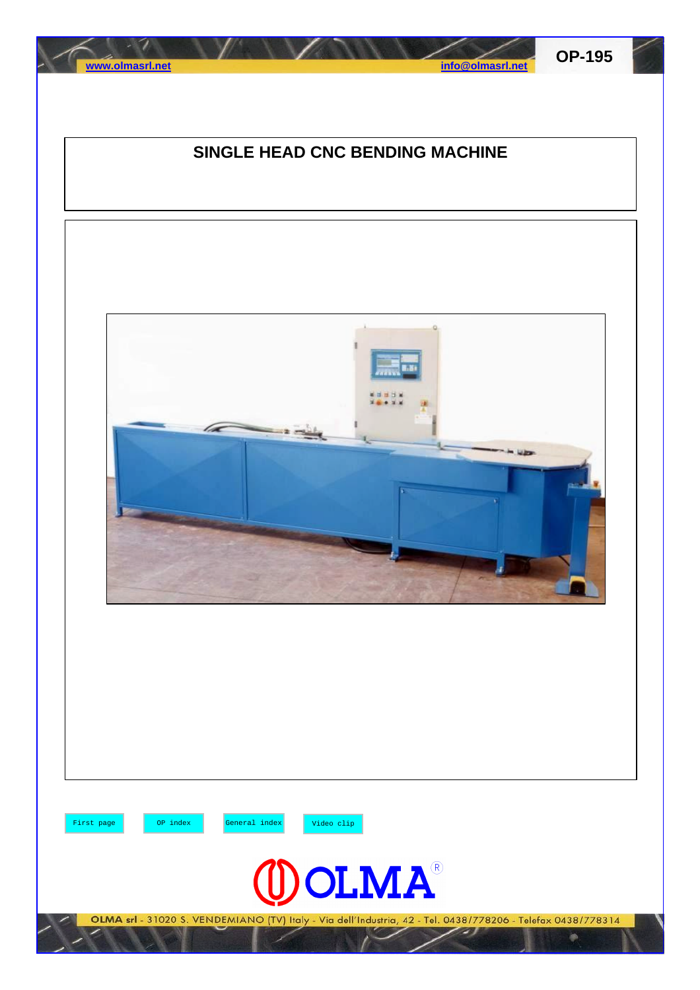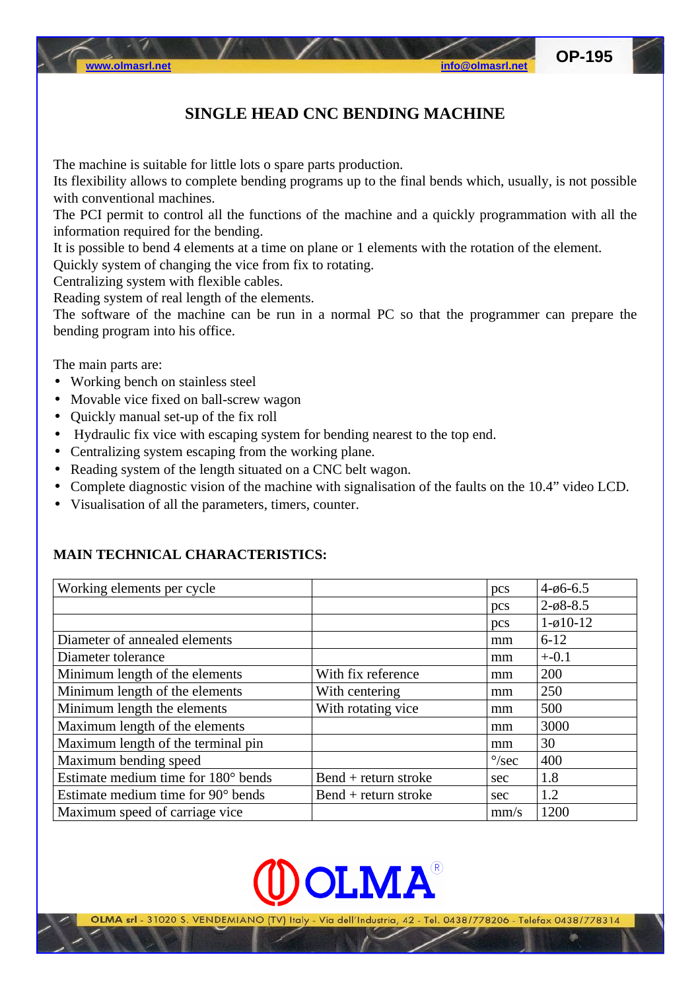The machine is suitable for little lots o spare parts production.

Its flexibility allows to complete bending programs up to the final bends which, usually, is not possible with conventional machines.

The PCI permit to control all the functions of the machine and a quickly programmation with all the information required for the bending.

It is possible to bend 4 elements at a time on plane or 1 elements with the rotation of the element.

Quickly system of changing the vice from fix to rotating.

Centralizing system with flexible cables.

Reading system of real length of the elements.

The software of the machine can be run in a normal PC so that the programmer can prepare the bending program into his office.

The main parts are:

- Working bench on stainless steel
- Movable vice fixed on ball-screw wagon
- Quickly manual set-up of the fix roll
- Hydraulic fix vice with escaping system for bending nearest to the top end.
- Centralizing system escaping from the working plane.
- Reading system of the length situated on a CNC belt wagon.
- Complete diagnostic vision of the machine with signalisation of the faults on the 10.4" video LCD.
- Visualisation of all the parameters, timers, counter.

## **MAIN TECHNICAL CHARACTERISTICS:**

| Working elements per cycle          |                      | pcs            | $4 - 66 - 6.5$          |
|-------------------------------------|----------------------|----------------|-------------------------|
|                                     |                      | pcs            | $2 - \varphi 8 - 8.5$   |
|                                     |                      | pcs            | $1 - \emptyset 10 - 12$ |
| Diameter of annealed elements       |                      | mm             | $6 - 12$                |
| Diameter tolerance                  |                      | mm             | $+ -0.1$                |
| Minimum length of the elements      | With fix reference   | mm             | 200                     |
| Minimum length of the elements      | With centering       | mm             | 250                     |
| Minimum length the elements         | With rotating vice   | mm             | 500                     |
| Maximum length of the elements      |                      | mm             | 3000                    |
| Maximum length of the terminal pin  |                      | mm             | 30                      |
| Maximum bending speed               |                      | $\degree$ /sec | 400                     |
| Estimate medium time for 180° bends | Bend + return stroke | sec            | 1.8                     |
| Estimate medium time for 90° bends  | Bend + return stroke | sec            | 1.2                     |
| Maximum speed of carriage vice      |                      | mm/s           | 1200                    |

OLMA®